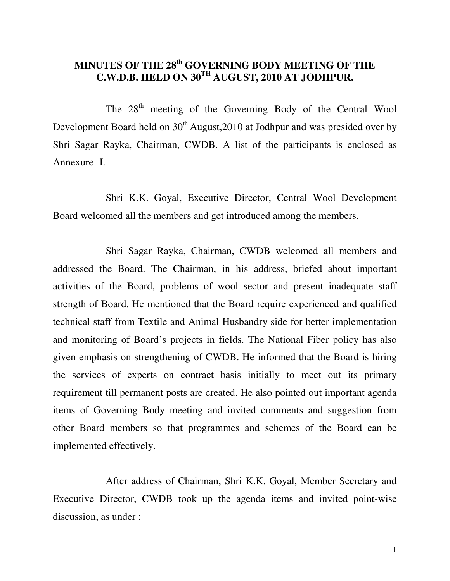# **MINUTES OF THE 28th GOVERNING BODY MEETING OF THE C.W.D.B. HELD ON 30TH AUGUST, 2010 AT JODHPUR.**

The  $28<sup>th</sup>$  meeting of the Governing Body of the Central Wool Development Board held on  $30<sup>th</sup>$  August, 2010 at Jodhpur and was presided over by Shri Sagar Rayka, Chairman, CWDB. A list of the participants is enclosed as Annexure- I.

 Shri K.K. Goyal, Executive Director, Central Wool Development Board welcomed all the members and get introduced among the members.

 Shri Sagar Rayka, Chairman, CWDB welcomed all members and addressed the Board. The Chairman, in his address, briefed about important activities of the Board, problems of wool sector and present inadequate staff strength of Board. He mentioned that the Board require experienced and qualified technical staff from Textile and Animal Husbandry side for better implementation and monitoring of Board's projects in fields. The National Fiber policy has also given emphasis on strengthening of CWDB. He informed that the Board is hiring the services of experts on contract basis initially to meet out its primary requirement till permanent posts are created. He also pointed out important agenda items of Governing Body meeting and invited comments and suggestion from other Board members so that programmes and schemes of the Board can be implemented effectively.

 After address of Chairman, Shri K.K. Goyal, Member Secretary and Executive Director, CWDB took up the agenda items and invited point-wise discussion, as under :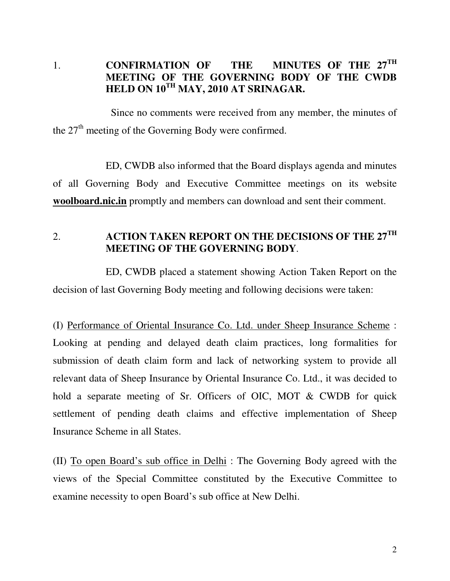# 1. **CONFIRMATION OF THE MINUTES OF THE 27TH MEETING OF THE GOVERNING BODY OF THE CWDB HELD ON 10TH MAY, 2010 AT SRINAGAR.**

 Since no comments were received from any member, the minutes of the  $27<sup>th</sup>$  meeting of the Governing Body were confirmed.

 ED, CWDB also informed that the Board displays agenda and minutes of all Governing Body and Executive Committee meetings on its website **woolboard.nic.in** promptly and members can download and sent their comment.

2. **ACTION TAKEN REPORT ON THE DECISIONS OF THE 27TH MEETING OF THE GOVERNING BODY**.

 ED, CWDB placed a statement showing Action Taken Report on the decision of last Governing Body meeting and following decisions were taken:

(I) Performance of Oriental Insurance Co. Ltd. under Sheep Insurance Scheme : Looking at pending and delayed death claim practices, long formalities for submission of death claim form and lack of networking system to provide all relevant data of Sheep Insurance by Oriental Insurance Co. Ltd., it was decided to hold a separate meeting of Sr. Officers of OIC, MOT & CWDB for quick settlement of pending death claims and effective implementation of Sheep Insurance Scheme in all States.

(II) To open Board's sub office in Delhi : The Governing Body agreed with the views of the Special Committee constituted by the Executive Committee to examine necessity to open Board's sub office at New Delhi.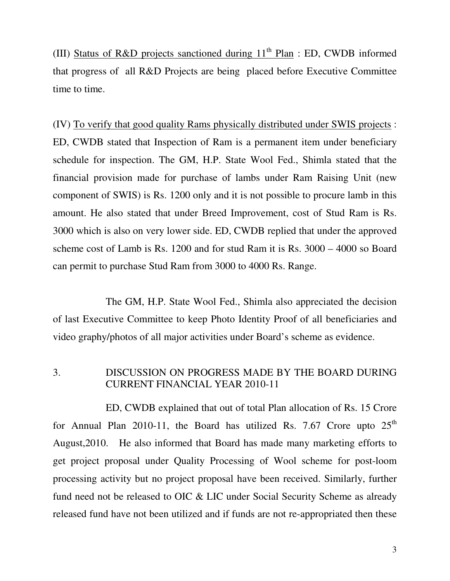(III) Status of R&D projects sanctioned during  $11<sup>th</sup>$  Plan : ED, CWDB informed that progress of all R&D Projects are being placed before Executive Committee time to time.

(IV) To verify that good quality Rams physically distributed under SWIS projects : ED, CWDB stated that Inspection of Ram is a permanent item under beneficiary schedule for inspection. The GM, H.P. State Wool Fed., Shimla stated that the financial provision made for purchase of lambs under Ram Raising Unit (new component of SWIS) is Rs. 1200 only and it is not possible to procure lamb in this amount. He also stated that under Breed Improvement, cost of Stud Ram is Rs. 3000 which is also on very lower side. ED, CWDB replied that under the approved scheme cost of Lamb is Rs. 1200 and for stud Ram it is Rs. 3000 – 4000 so Board can permit to purchase Stud Ram from 3000 to 4000 Rs. Range.

 The GM, H.P. State Wool Fed., Shimla also appreciated the decision of last Executive Committee to keep Photo Identity Proof of all beneficiaries and video graphy/photos of all major activities under Board's scheme as evidence.

# 3. DISCUSSION ON PROGRESS MADE BY THE BOARD DURING CURRENT FINANCIAL YEAR 2010-11

 ED, CWDB explained that out of total Plan allocation of Rs. 15 Crore for Annual Plan 2010-11, the Board has utilized Rs. 7.67 Crore upto  $25<sup>th</sup>$ August,2010. He also informed that Board has made many marketing efforts to get project proposal under Quality Processing of Wool scheme for post-loom processing activity but no project proposal have been received. Similarly, further fund need not be released to OIC & LIC under Social Security Scheme as already released fund have not been utilized and if funds are not re-appropriated then these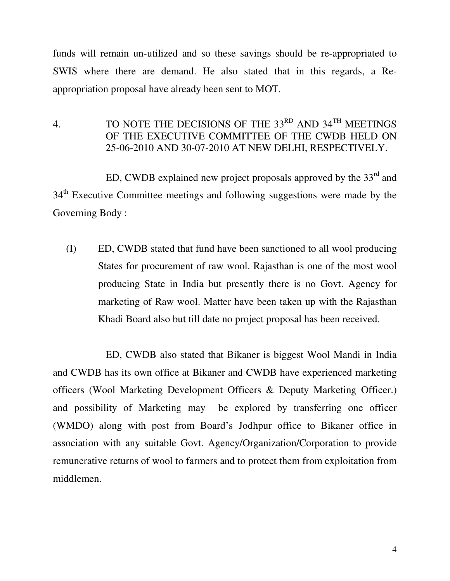funds will remain un-utilized and so these savings should be re-appropriated to SWIS where there are demand. He also stated that in this regards, a Reappropriation proposal have already been sent to MOT.

4. TO NOTE THE DECISIONS OF THE  $33^{RD}$  AND  $34^{TH}$  MEETINGS OF THE EXECUTIVE COMMITTEE OF THE CWDB HELD ON 25-06-2010 AND 30-07-2010 AT NEW DELHI, RESPECTIVELY.

ED, CWDB explained new project proposals approved by the  $33<sup>rd</sup>$  and 34<sup>th</sup> Executive Committee meetings and following suggestions were made by the Governing Body :

(I) ED, CWDB stated that fund have been sanctioned to all wool producing States for procurement of raw wool. Rajasthan is one of the most wool producing State in India but presently there is no Govt. Agency for marketing of Raw wool. Matter have been taken up with the Rajasthan Khadi Board also but till date no project proposal has been received.

 ED, CWDB also stated that Bikaner is biggest Wool Mandi in India and CWDB has its own office at Bikaner and CWDB have experienced marketing officers (Wool Marketing Development Officers & Deputy Marketing Officer.) and possibility of Marketing may be explored by transferring one officer (WMDO) along with post from Board's Jodhpur office to Bikaner office in association with any suitable Govt. Agency/Organization/Corporation to provide remunerative returns of wool to farmers and to protect them from exploitation from middlemen.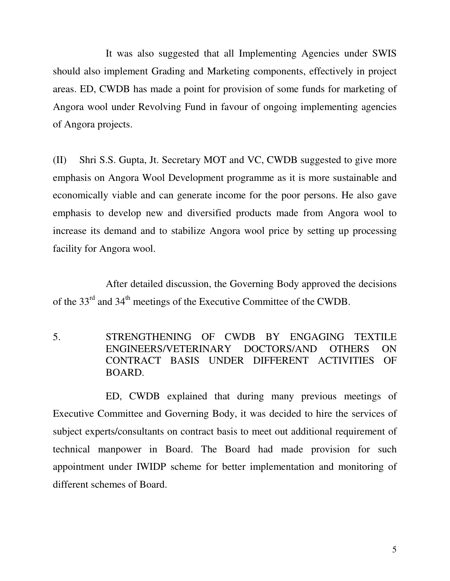It was also suggested that all Implementing Agencies under SWIS should also implement Grading and Marketing components, effectively in project areas. ED, CWDB has made a point for provision of some funds for marketing of Angora wool under Revolving Fund in favour of ongoing implementing agencies of Angora projects.

(II) Shri S.S. Gupta, Jt. Secretary MOT and VC, CWDB suggested to give more emphasis on Angora Wool Development programme as it is more sustainable and economically viable and can generate income for the poor persons. He also gave emphasis to develop new and diversified products made from Angora wool to increase its demand and to stabilize Angora wool price by setting up processing facility for Angora wool.

 After detailed discussion, the Governing Body approved the decisions of the 33rd and 34th meetings of the Executive Committee of the CWDB.

5. STRENGTHENING OF CWDB BY ENGAGING TEXTILE ENGINEERS/VETERINARY DOCTORS/AND OTHERS ON CONTRACT BASIS UNDER DIFFERENT ACTIVITIES OF BOARD.

 ED, CWDB explained that during many previous meetings of Executive Committee and Governing Body, it was decided to hire the services of subject experts/consultants on contract basis to meet out additional requirement of technical manpower in Board. The Board had made provision for such appointment under IWIDP scheme for better implementation and monitoring of different schemes of Board.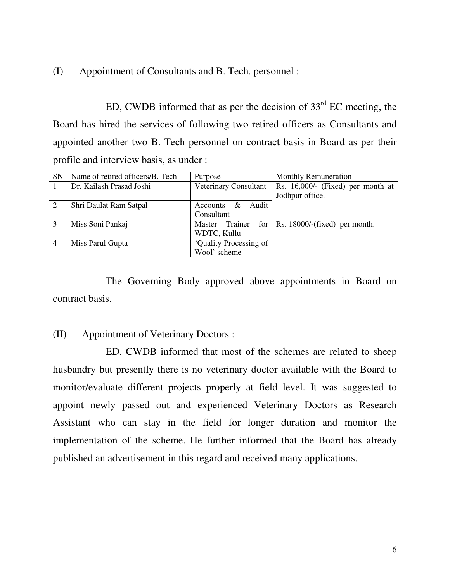## (I) Appointment of Consultants and B. Tech. personnel :

ED, CWDB informed that as per the decision of  $33<sup>rd</sup>$  EC meeting, the Board has hired the services of following two retired officers as Consultants and appointed another two B. Tech personnel on contract basis in Board as per their profile and interview basis, as under :

| <b>SN</b> | Name of retired officers/B. Tech | Purpose                | <b>Monthly Remuneration</b>       |
|-----------|----------------------------------|------------------------|-----------------------------------|
|           | Dr. Kailash Prasad Joshi         | Veterinary Consultant  | Rs. 16,000/- (Fixed) per month at |
|           |                                  |                        | Jodhpur office.                   |
| 2         | Shri Daulat Ram Satpal           | Audit<br>Accounts $\&$ |                                   |
|           |                                  | Consultant             |                                   |
| 3         | Miss Soni Pankaj                 | Trainer for<br>Master  | Rs. 18000/-(fixed) per month.     |
|           |                                  | WDTC, Kullu            |                                   |
|           | Miss Parul Gupta                 | 'Quality Processing of |                                   |
|           |                                  | Wool' scheme           |                                   |

 The Governing Body approved above appointments in Board on contract basis.

### (II) Appointment of Veterinary Doctors :

 ED, CWDB informed that most of the schemes are related to sheep husbandry but presently there is no veterinary doctor available with the Board to monitor/evaluate different projects properly at field level. It was suggested to appoint newly passed out and experienced Veterinary Doctors as Research Assistant who can stay in the field for longer duration and monitor the implementation of the scheme. He further informed that the Board has already published an advertisement in this regard and received many applications.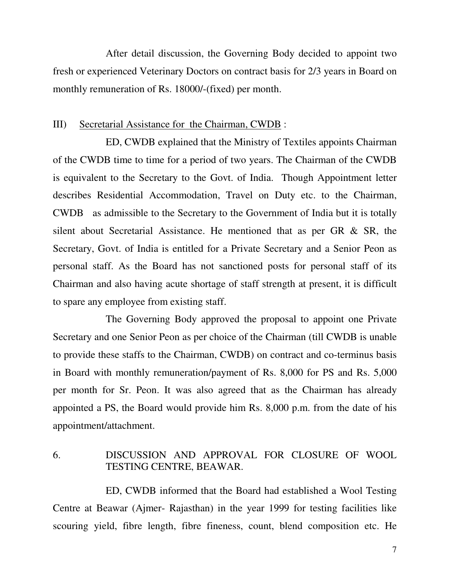After detail discussion, the Governing Body decided to appoint two fresh or experienced Veterinary Doctors on contract basis for 2/3 years in Board on monthly remuneration of Rs. 18000/-(fixed) per month.

#### III) Secretarial Assistance for the Chairman, CWDB :

 ED, CWDB explained that the Ministry of Textiles appoints Chairman of the CWDB time to time for a period of two years. The Chairman of the CWDB is equivalent to the Secretary to the Govt. of India. Though Appointment letter describes Residential Accommodation, Travel on Duty etc. to the Chairman, CWDB as admissible to the Secretary to the Government of India but it is totally silent about Secretarial Assistance. He mentioned that as per GR & SR, the Secretary, Govt. of India is entitled for a Private Secretary and a Senior Peon as personal staff. As the Board has not sanctioned posts for personal staff of its Chairman and also having acute shortage of staff strength at present, it is difficult to spare any employee from existing staff.

 The Governing Body approved the proposal to appoint one Private Secretary and one Senior Peon as per choice of the Chairman (till CWDB is unable to provide these staffs to the Chairman, CWDB) on contract and co-terminus basis in Board with monthly remuneration/payment of Rs. 8,000 for PS and Rs. 5,000 per month for Sr. Peon. It was also agreed that as the Chairman has already appointed a PS, the Board would provide him Rs. 8,000 p.m. from the date of his appointment/attachment.

# 6. DISCUSSION AND APPROVAL FOR CLOSURE OF WOOL TESTING CENTRE, BEAWAR.

 ED, CWDB informed that the Board had established a Wool Testing Centre at Beawar (Ajmer- Rajasthan) in the year 1999 for testing facilities like scouring yield, fibre length, fibre fineness, count, blend composition etc. He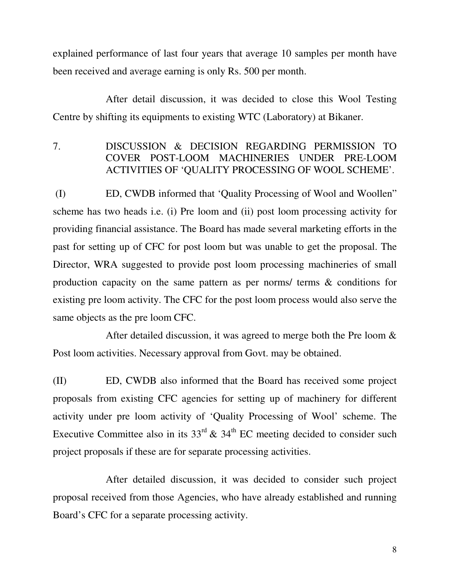explained performance of last four years that average 10 samples per month have been received and average earning is only Rs. 500 per month.

 After detail discussion, it was decided to close this Wool Testing Centre by shifting its equipments to existing WTC (Laboratory) at Bikaner.

7. DISCUSSION & DECISION REGARDING PERMISSION TO COVER POST-LOOM MACHINERIES UNDER PRE-LOOM ACTIVITIES OF 'QUALITY PROCESSING OF WOOL SCHEME'.

 (I) ED, CWDB informed that 'Quality Processing of Wool and Woollen" scheme has two heads i.e. (i) Pre loom and (ii) post loom processing activity for providing financial assistance. The Board has made several marketing efforts in the past for setting up of CFC for post loom but was unable to get the proposal. The Director, WRA suggested to provide post loom processing machineries of small production capacity on the same pattern as per norms/ terms & conditions for existing pre loom activity. The CFC for the post loom process would also serve the same objects as the pre loom CFC.

 After detailed discussion, it was agreed to merge both the Pre loom & Post loom activities. Necessary approval from Govt. may be obtained.

(II) ED, CWDB also informed that the Board has received some project proposals from existing CFC agencies for setting up of machinery for different activity under pre loom activity of 'Quality Processing of Wool' scheme. The Executive Committee also in its  $33<sup>rd</sup>$  &  $34<sup>th</sup>$  EC meeting decided to consider such project proposals if these are for separate processing activities.

 After detailed discussion, it was decided to consider such project proposal received from those Agencies, who have already established and running Board's CFC for a separate processing activity.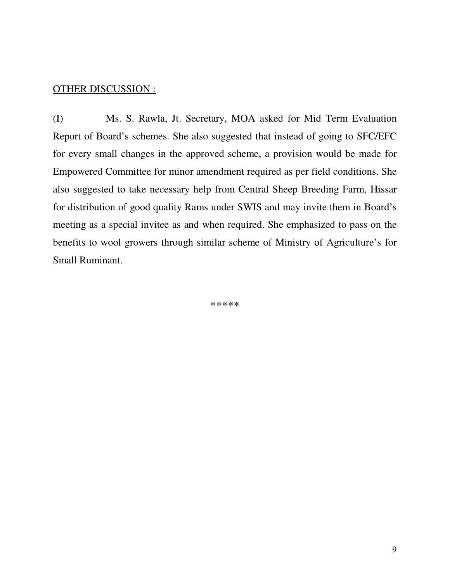### OTHER DISCUSSION :

(I) Ms. S. Rawla, Jt. Secretary, MOA asked for Mid Term Evaluation Report of Board's schemes. She also suggested that instead of going to SFC/EFC for every small changes in the approved scheme, a provision would be made for Empowered Committee for minor amendment required as per field conditions. She also suggested to take necessary help from Central Sheep Breeding Farm, Hissar for distribution of good quality Rams under SWIS and may invite them in Board's meeting as a special invitee as and when required. She emphasized to pass on the benefits to wool growers through similar scheme of Ministry of Agriculture's for Small Ruminant.

\*\*\*\*\*